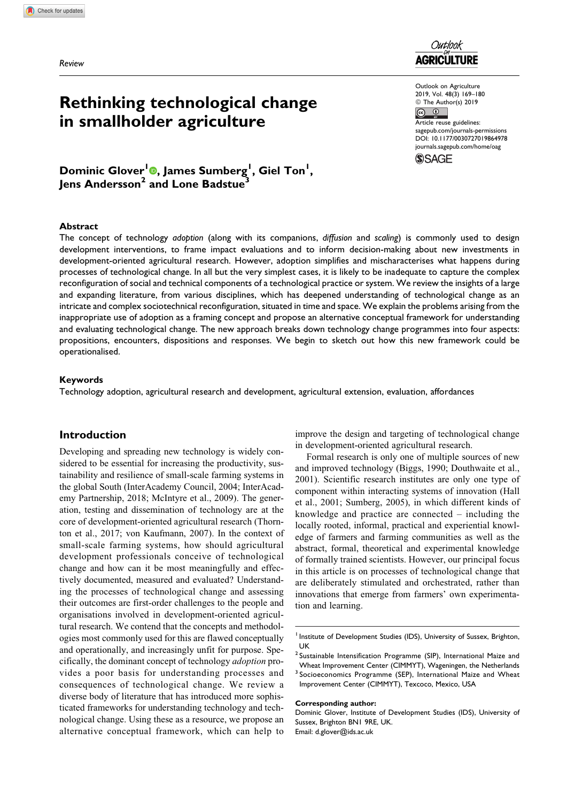Review

# Rethinking technological change in smallholder agriculture

Dominic Glover<sup>l</sup>®[,](https://orcid.org/0000-0003-2055-1996) James Sumberg<sup>l</sup>, Giel Ton<sup>l</sup>, Jens Andersson $^{\mathsf{2}}$  and Lone Badstue $^{\mathsf{3}}$ 

## Abstract

Outlook **AGRICULTURE** 

Outlook on Agriculture 2019, Vol. 48(3) 169–180 ª The Author(s) 2019  $\circledcirc$ 

Article reuse guidelines: [sagepub.com/journals-permissions](https://sagepub.com/journals-permissions) [DOI: 10.1177/0030727019864978](https://doi.org/10.1177/0030727019864978) [journals.sagepub.com/home/oag](http://journals.sagepub.com/home/oag)

**SSAGE** 

The concept of technology adoption (along with its companions, diffusion and scaling) is commonly used to design development interventions, to frame impact evaluations and to inform decision-making about new investments in development-oriented agricultural research. However, adoption simplifies and mischaracterises what happens during processes of technological change. In all but the very simplest cases, it is likely to be inadequate to capture the complex reconfiguration of social and technical components of a technological practice or system. We review the insights of a large and expanding literature, from various disciplines, which has deepened understanding of technological change as an intricate and complex sociotechnical reconfiguration, situated in time and space. We explain the problems arising from the inappropriate use of adoption as a framing concept and propose an alternative conceptual framework for understanding and evaluating technological change. The new approach breaks down technology change programmes into four aspects: propositions, encounters, dispositions and responses. We begin to sketch out how this new framework could be operationalised.

### Keywords

Technology adoption, agricultural research and development, agricultural extension, evaluation, affordances

## Introduction

Developing and spreading new technology is widely considered to be essential for increasing the productivity, sustainability and resilience of small-scale farming systems in the global South (InterAcademy Council, 2004; InterAcademy Partnership, 2018; McIntyre et al., 2009). The generation, testing and dissemination of technology are at the core of development-oriented agricultural research (Thornton et al., 2017; von Kaufmann, 2007). In the context of small-scale farming systems, how should agricultural development professionals conceive of technological change and how can it be most meaningfully and effectively documented, measured and evaluated? Understanding the processes of technological change and assessing their outcomes are first-order challenges to the people and organisations involved in development-oriented agricultural research. We contend that the concepts and methodologies most commonly used for this are flawed conceptually and operationally, and increasingly unfit for purpose. Specifically, the dominant concept of technology adoption provides a poor basis for understanding processes and consequences of technological change. We review a diverse body of literature that has introduced more sophisticated frameworks for understanding technology and technological change. Using these as a resource, we propose an alternative conceptual framework, which can help to

improve the design and targeting of technological change in development-oriented agricultural research.

Formal research is only one of multiple sources of new and improved technology (Biggs, 1990; Douthwaite et al., 2001). Scientific research institutes are only one type of component within interacting systems of innovation (Hall et al., 2001; Sumberg, 2005), in which different kinds of knowledge and practice are connected – including the locally rooted, informal, practical and experiential knowledge of farmers and farming communities as well as the abstract, formal, theoretical and experimental knowledge of formally trained scientists. However, our principal focus in this article is on processes of technological change that are deliberately stimulated and orchestrated, rather than innovations that emerge from farmers' own experimentation and learning.

#### Corresponding author:

<sup>&</sup>lt;sup>1</sup> Institute of Development Studies (IDS), University of Sussex, Brighton, UK

<sup>&</sup>lt;sup>2</sup> Sustainable Intensification Programme (SIP), International Maize and Wheat Improvement Center (CIMMYT), Wageningen, the Netherlands

<sup>&</sup>lt;sup>3</sup> Socioeconomics Programme (SEP), International Maize and Wheat Improvement Center (CIMMYT), Texcoco, Mexico, USA

Dominic Glover, Institute of Development Studies (IDS), University of Sussex, Brighton BN1 9RE, UK. Email: [d.glover@ids.ac.uk](mailto:d.glover@ids.ac.uk)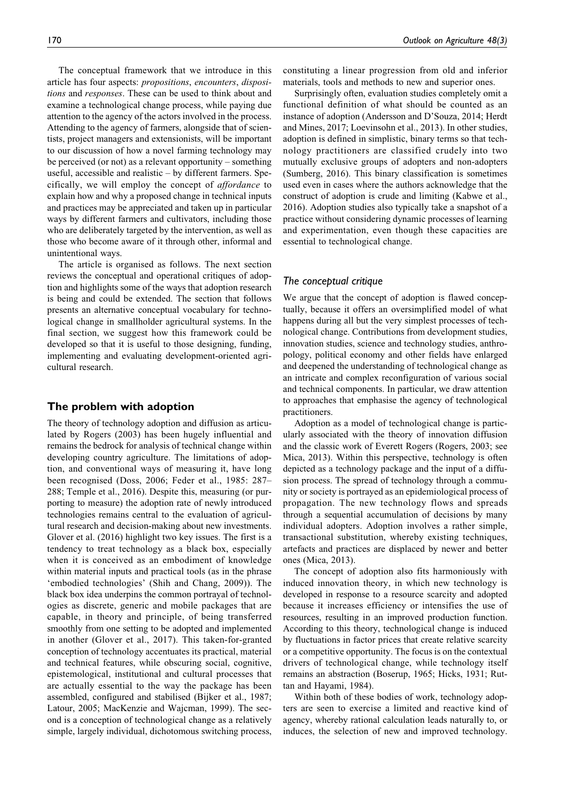The conceptual framework that we introduce in this article has four aspects: propositions, encounters, dispositions and responses. These can be used to think about and examine a technological change process, while paying due attention to the agency of the actors involved in the process. Attending to the agency of farmers, alongside that of scientists, project managers and extensionists, will be important to our discussion of how a novel farming technology may be perceived (or not) as a relevant opportunity – something useful, accessible and realistic – by different farmers. Specifically, we will employ the concept of affordance to explain how and why a proposed change in technical inputs and practices may be appreciated and taken up in particular ways by different farmers and cultivators, including those who are deliberately targeted by the intervention, as well as those who become aware of it through other, informal and unintentional ways.

The article is organised as follows. The next section reviews the conceptual and operational critiques of adoption and highlights some of the ways that adoption research is being and could be extended. The section that follows presents an alternative conceptual vocabulary for technological change in smallholder agricultural systems. In the final section, we suggest how this framework could be developed so that it is useful to those designing, funding, implementing and evaluating development-oriented agricultural research.

## The problem with adoption

The theory of technology adoption and diffusion as articulated by Rogers (2003) has been hugely influential and remains the bedrock for analysis of technical change within developing country agriculture. The limitations of adoption, and conventional ways of measuring it, have long been recognised (Doss, 2006; Feder et al., 1985: 287– 288; Temple et al., 2016). Despite this, measuring (or purporting to measure) the adoption rate of newly introduced technologies remains central to the evaluation of agricultural research and decision-making about new investments. Glover et al. (2016) highlight two key issues. The first is a tendency to treat technology as a black box, especially when it is conceived as an embodiment of knowledge within material inputs and practical tools (as in the phrase 'embodied technologies' (Shih and Chang, 2009)). The black box idea underpins the common portrayal of technologies as discrete, generic and mobile packages that are capable, in theory and principle, of being transferred smoothly from one setting to be adopted and implemented in another (Glover et al., 2017). This taken-for-granted conception of technology accentuates its practical, material and technical features, while obscuring social, cognitive, epistemological, institutional and cultural processes that are actually essential to the way the package has been assembled, configured and stabilised (Bijker et al., 1987; Latour, 2005; MacKenzie and Wajcman, 1999). The second is a conception of technological change as a relatively simple, largely individual, dichotomous switching process, constituting a linear progression from old and inferior materials, tools and methods to new and superior ones.

Surprisingly often, evaluation studies completely omit a functional definition of what should be counted as an instance of adoption (Andersson and D'Souza, 2014; Herdt and Mines, 2017; Loevinsohn et al., 2013). In other studies, adoption is defined in simplistic, binary terms so that technology practitioners are classified crudely into two mutually exclusive groups of adopters and non-adopters (Sumberg, 2016). This binary classification is sometimes used even in cases where the authors acknowledge that the construct of adoption is crude and limiting (Kabwe et al., 2016). Adoption studies also typically take a snapshot of a practice without considering dynamic processes of learning and experimentation, even though these capacities are essential to technological change.

### The conceptual critique

We argue that the concept of adoption is flawed conceptually, because it offers an oversimplified model of what happens during all but the very simplest processes of technological change. Contributions from development studies, innovation studies, science and technology studies, anthropology, political economy and other fields have enlarged and deepened the understanding of technological change as an intricate and complex reconfiguration of various social and technical components. In particular, we draw attention to approaches that emphasise the agency of technological practitioners.

Adoption as a model of technological change is particularly associated with the theory of innovation diffusion and the classic work of Everett Rogers (Rogers, 2003; see Mica, 2013). Within this perspective, technology is often depicted as a technology package and the input of a diffusion process. The spread of technology through a community or society is portrayed as an epidemiological process of propagation. The new technology flows and spreads through a sequential accumulation of decisions by many individual adopters. Adoption involves a rather simple, transactional substitution, whereby existing techniques, artefacts and practices are displaced by newer and better ones (Mica, 2013).

The concept of adoption also fits harmoniously with induced innovation theory, in which new technology is developed in response to a resource scarcity and adopted because it increases efficiency or intensifies the use of resources, resulting in an improved production function. According to this theory, technological change is induced by fluctuations in factor prices that create relative scarcity or a competitive opportunity. The focus is on the contextual drivers of technological change, while technology itself remains an abstraction (Boserup, 1965; Hicks, 1931; Ruttan and Hayami, 1984).

Within both of these bodies of work, technology adopters are seen to exercise a limited and reactive kind of agency, whereby rational calculation leads naturally to, or induces, the selection of new and improved technology.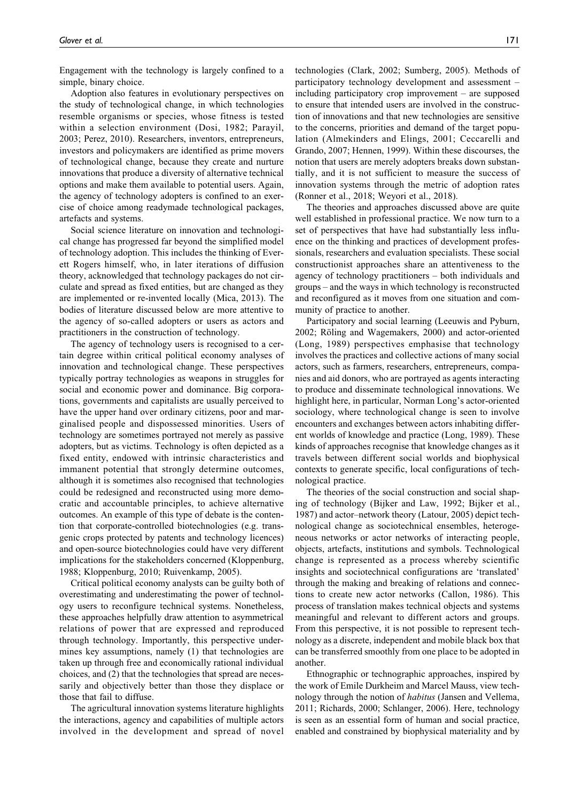Engagement with the technology is largely confined to a simple, binary choice.

Adoption also features in evolutionary perspectives on the study of technological change, in which technologies resemble organisms or species, whose fitness is tested within a selection environment (Dosi, 1982; Parayil, 2003; Perez, 2010). Researchers, inventors, entrepreneurs, investors and policymakers are identified as prime movers of technological change, because they create and nurture innovations that produce a diversity of alternative technical options and make them available to potential users. Again, the agency of technology adopters is confined to an exercise of choice among readymade technological packages, artefacts and systems.

Social science literature on innovation and technological change has progressed far beyond the simplified model of technology adoption. This includes the thinking of Everett Rogers himself, who, in later iterations of diffusion theory, acknowledged that technology packages do not circulate and spread as fixed entities, but are changed as they are implemented or re-invented locally (Mica, 2013). The bodies of literature discussed below are more attentive to the agency of so-called adopters or users as actors and practitioners in the construction of technology.

The agency of technology users is recognised to a certain degree within critical political economy analyses of innovation and technological change. These perspectives typically portray technologies as weapons in struggles for social and economic power and dominance. Big corporations, governments and capitalists are usually perceived to have the upper hand over ordinary citizens, poor and marginalised people and dispossessed minorities. Users of technology are sometimes portrayed not merely as passive adopters, but as victims. Technology is often depicted as a fixed entity, endowed with intrinsic characteristics and immanent potential that strongly determine outcomes, although it is sometimes also recognised that technologies could be redesigned and reconstructed using more democratic and accountable principles, to achieve alternative outcomes. An example of this type of debate is the contention that corporate-controlled biotechnologies (e.g. transgenic crops protected by patents and technology licences) and open-source biotechnologies could have very different implications for the stakeholders concerned (Kloppenburg, 1988; Kloppenburg, 2010; Ruivenkamp, 2005).

Critical political economy analysts can be guilty both of overestimating and underestimating the power of technology users to reconfigure technical systems. Nonetheless, these approaches helpfully draw attention to asymmetrical relations of power that are expressed and reproduced through technology. Importantly, this perspective undermines key assumptions, namely (1) that technologies are taken up through free and economically rational individual choices, and (2) that the technologies that spread are necessarily and objectively better than those they displace or those that fail to diffuse.

The agricultural innovation systems literature highlights the interactions, agency and capabilities of multiple actors involved in the development and spread of novel

technologies (Clark, 2002; Sumberg, 2005). Methods of participatory technology development and assessment – including participatory crop improvement – are supposed to ensure that intended users are involved in the construction of innovations and that new technologies are sensitive to the concerns, priorities and demand of the target population (Almekinders and Elings, 2001; Ceccarelli and Grando, 2007; Hennen, 1999). Within these discourses, the notion that users are merely adopters breaks down substantially, and it is not sufficient to measure the success of innovation systems through the metric of adoption rates (Ronner et al., 2018; Weyori et al., 2018).

The theories and approaches discussed above are quite well established in professional practice. We now turn to a set of perspectives that have had substantially less influence on the thinking and practices of development professionals, researchers and evaluation specialists. These social constructionist approaches share an attentiveness to the agency of technology practitioners – both individuals and groups – and the ways in which technology is reconstructed and reconfigured as it moves from one situation and community of practice to another.

Participatory and social learning (Leeuwis and Pyburn, 2002; Röling and Wagemakers, 2000) and actor-oriented (Long, 1989) perspectives emphasise that technology involves the practices and collective actions of many social actors, such as farmers, researchers, entrepreneurs, companies and aid donors, who are portrayed as agents interacting to produce and disseminate technological innovations. We highlight here, in particular, Norman Long's actor-oriented sociology, where technological change is seen to involve encounters and exchanges between actors inhabiting different worlds of knowledge and practice (Long, 1989). These kinds of approaches recognise that knowledge changes as it travels between different social worlds and biophysical contexts to generate specific, local configurations of technological practice.

The theories of the social construction and social shaping of technology (Bijker and Law, 1992; Bijker et al., 1987) and actor–network theory (Latour, 2005) depict technological change as sociotechnical ensembles, heterogeneous networks or actor networks of interacting people, objects, artefacts, institutions and symbols. Technological change is represented as a process whereby scientific insights and sociotechnical configurations are 'translated' through the making and breaking of relations and connections to create new actor networks (Callon, 1986). This process of translation makes technical objects and systems meaningful and relevant to different actors and groups. From this perspective, it is not possible to represent technology as a discrete, independent and mobile black box that can be transferred smoothly from one place to be adopted in another.

Ethnographic or technographic approaches, inspired by the work of Emile Durkheim and Marcel Mauss, view technology through the notion of habitus (Jansen and Vellema, 2011; Richards, 2000; Schlanger, 2006). Here, technology is seen as an essential form of human and social practice, enabled and constrained by biophysical materiality and by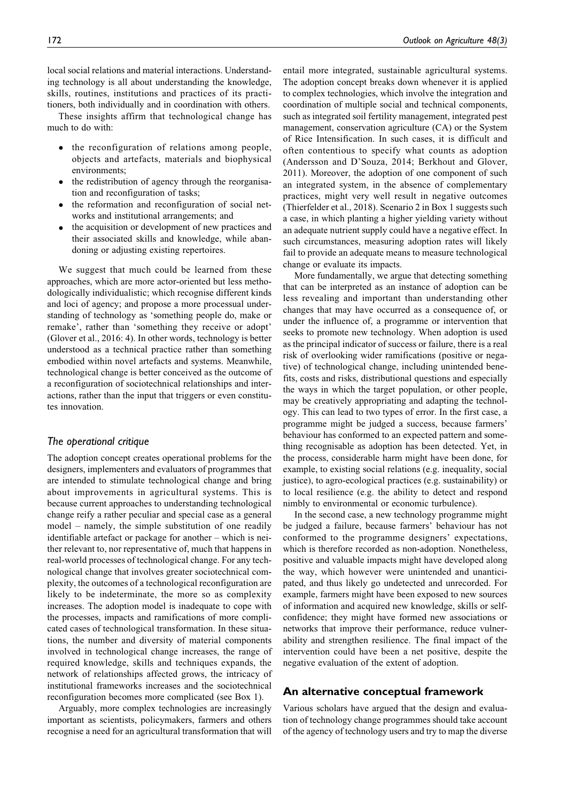local social relations and material interactions. Understanding technology is all about understanding the knowledge, skills, routines, institutions and practices of its practitioners, both individually and in coordination with others.

These insights affirm that technological change has much to do with:

- $\bullet$  the reconfiguration of relations among people, objects and artefacts, materials and biophysical environments;
- $\bullet$  the redistribution of agency through the reorganisation and reconfiguration of tasks;
- $\bullet$  the reformation and reconfiguration of social networks and institutional arrangements; and
- $\bullet$  the acquisition or development of new practices and their associated skills and knowledge, while abandoning or adjusting existing repertoires.

We suggest that much could be learned from these approaches, which are more actor-oriented but less methodologically individualistic; which recognise different kinds and loci of agency; and propose a more processual understanding of technology as 'something people do, make or remake', rather than 'something they receive or adopt' (Glover et al., 2016: 4). In other words, technology is better understood as a technical practice rather than something embodied within novel artefacts and systems. Meanwhile, technological change is better conceived as the outcome of a reconfiguration of sociotechnical relationships and interactions, rather than the input that triggers or even constitutes innovation.

#### The operational critique

The adoption concept creates operational problems for the designers, implementers and evaluators of programmes that are intended to stimulate technological change and bring about improvements in agricultural systems. This is because current approaches to understanding technological change reify a rather peculiar and special case as a general model – namely, the simple substitution of one readily identifiable artefact or package for another – which is neither relevant to, nor representative of, much that happens in real-world processes of technological change. For any technological change that involves greater sociotechnical complexity, the outcomes of a technological reconfiguration are likely to be indeterminate, the more so as complexity increases. The adoption model is inadequate to cope with the processes, impacts and ramifications of more complicated cases of technological transformation. In these situations, the number and diversity of material components involved in technological change increases, the range of required knowledge, skills and techniques expands, the network of relationships affected grows, the intricacy of institutional frameworks increases and the sociotechnical reconfiguration becomes more complicated (see Box 1).

Arguably, more complex technologies are increasingly important as scientists, policymakers, farmers and others recognise a need for an agricultural transformation that will entail more integrated, sustainable agricultural systems. The adoption concept breaks down whenever it is applied to complex technologies, which involve the integration and coordination of multiple social and technical components, such as integrated soil fertility management, integrated pest management, conservation agriculture (CA) or the System of Rice Intensification. In such cases, it is difficult and often contentious to specify what counts as adoption (Andersson and D'Souza, 2014; Berkhout and Glover, 2011). Moreover, the adoption of one component of such an integrated system, in the absence of complementary practices, might very well result in negative outcomes (Thierfelder et al., 2018). Scenario 2 in Box 1 suggests such a case, in which planting a higher yielding variety without an adequate nutrient supply could have a negative effect. In such circumstances, measuring adoption rates will likely fail to provide an adequate means to measure technological change or evaluate its impacts.

More fundamentally, we argue that detecting something that can be interpreted as an instance of adoption can be less revealing and important than understanding other changes that may have occurred as a consequence of, or under the influence of, a programme or intervention that seeks to promote new technology. When adoption is used as the principal indicator of success or failure, there is a real risk of overlooking wider ramifications (positive or negative) of technological change, including unintended benefits, costs and risks, distributional questions and especially the ways in which the target population, or other people, may be creatively appropriating and adapting the technology. This can lead to two types of error. In the first case, a programme might be judged a success, because farmers' behaviour has conformed to an expected pattern and something recognisable as adoption has been detected. Yet, in the process, considerable harm might have been done, for example, to existing social relations (e.g. inequality, social justice), to agro-ecological practices (e.g. sustainability) or to local resilience (e.g. the ability to detect and respond nimbly to environmental or economic turbulence).

In the second case, a new technology programme might be judged a failure, because farmers' behaviour has not conformed to the programme designers' expectations, which is therefore recorded as non-adoption. Nonetheless, positive and valuable impacts might have developed along the way, which however were unintended and unanticipated, and thus likely go undetected and unrecorded. For example, farmers might have been exposed to new sources of information and acquired new knowledge, skills or selfconfidence; they might have formed new associations or networks that improve their performance, reduce vulnerability and strengthen resilience. The final impact of the intervention could have been a net positive, despite the negative evaluation of the extent of adoption.

## An alternative conceptual framework

Various scholars have argued that the design and evaluation of technology change programmes should take account of the agency of technology users and try to map the diverse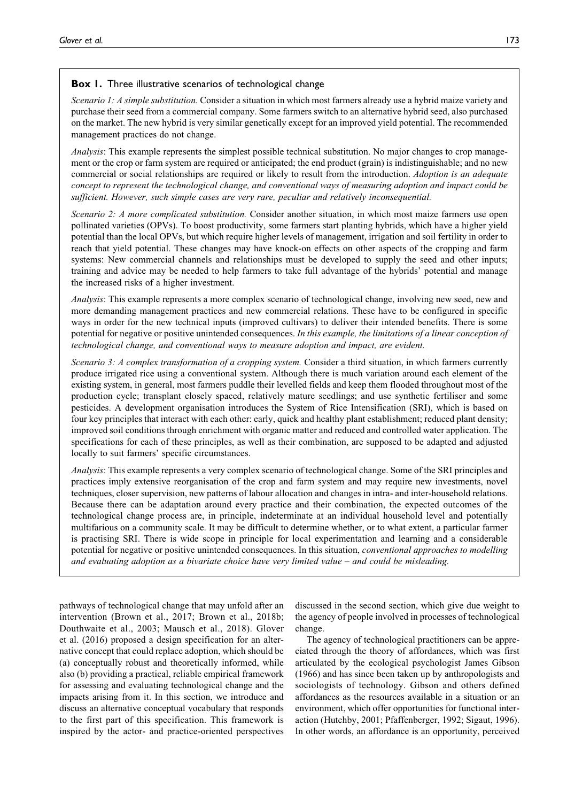## Box 1. Three illustrative scenarios of technological change

Scenario 1: A simple substitution. Consider a situation in which most farmers already use a hybrid maize variety and purchase their seed from a commercial company. Some farmers switch to an alternative hybrid seed, also purchased on the market. The new hybrid is very similar genetically except for an improved yield potential. The recommended management practices do not change.

Analysis: This example represents the simplest possible technical substitution. No major changes to crop management or the crop or farm system are required or anticipated; the end product (grain) is indistinguishable; and no new commercial or social relationships are required or likely to result from the introduction. Adoption is an adequate concept to represent the technological change, and conventional ways of measuring adoption and impact could be sufficient. However, such simple cases are very rare, peculiar and relatively inconsequential.

Scenario 2: A more complicated substitution. Consider another situation, in which most maize farmers use open pollinated varieties (OPVs). To boost productivity, some farmers start planting hybrids, which have a higher yield potential than the local OPVs, but which require higher levels of management, irrigation and soil fertility in order to reach that yield potential. These changes may have knock-on effects on other aspects of the cropping and farm systems: New commercial channels and relationships must be developed to supply the seed and other inputs; training and advice may be needed to help farmers to take full advantage of the hybrids' potential and manage the increased risks of a higher investment.

Analysis: This example represents a more complex scenario of technological change, involving new seed, new and more demanding management practices and new commercial relations. These have to be configured in specific ways in order for the new technical inputs (improved cultivars) to deliver their intended benefits. There is some potential for negative or positive unintended consequences. In this example, the limitations of a linear conception of technological change, and conventional ways to measure adoption and impact, are evident.

Scenario 3: A complex transformation of a cropping system. Consider a third situation, in which farmers currently produce irrigated rice using a conventional system. Although there is much variation around each element of the existing system, in general, most farmers puddle their levelled fields and keep them flooded throughout most of the production cycle; transplant closely spaced, relatively mature seedlings; and use synthetic fertiliser and some pesticides. A development organisation introduces the System of Rice Intensification (SRI), which is based on four key principles that interact with each other: early, quick and healthy plant establishment; reduced plant density; improved soil conditions through enrichment with organic matter and reduced and controlled water application. The specifications for each of these principles, as well as their combination, are supposed to be adapted and adjusted locally to suit farmers' specific circumstances.

Analysis: This example represents a very complex scenario of technological change. Some of the SRI principles and practices imply extensive reorganisation of the crop and farm system and may require new investments, novel techniques, closer supervision, new patterns of labour allocation and changes in intra- and inter-household relations. Because there can be adaptation around every practice and their combination, the expected outcomes of the technological change process are, in principle, indeterminate at an individual household level and potentially multifarious on a community scale. It may be difficult to determine whether, or to what extent, a particular farmer is practising SRI. There is wide scope in principle for local experimentation and learning and a considerable potential for negative or positive unintended consequences. In this situation, conventional approaches to modelling and evaluating adoption as a bivariate choice have very limited value – and could be misleading.

pathways of technological change that may unfold after an intervention (Brown et al., 2017; Brown et al., 2018b; Douthwaite et al., 2003; Mausch et al., 2018). Glover et al. (2016) proposed a design specification for an alternative concept that could replace adoption, which should be (a) conceptually robust and theoretically informed, while also (b) providing a practical, reliable empirical framework for assessing and evaluating technological change and the impacts arising from it. In this section, we introduce and discuss an alternative conceptual vocabulary that responds to the first part of this specification. This framework is inspired by the actor- and practice-oriented perspectives discussed in the second section, which give due weight to the agency of people involved in processes of technological change.

The agency of technological practitioners can be appreciated through the theory of affordances, which was first articulated by the ecological psychologist James Gibson (1966) and has since been taken up by anthropologists and sociologists of technology. Gibson and others defined affordances as the resources available in a situation or an environment, which offer opportunities for functional interaction (Hutchby, 2001; Pfaffenberger, 1992; Sigaut, 1996). In other words, an affordance is an opportunity, perceived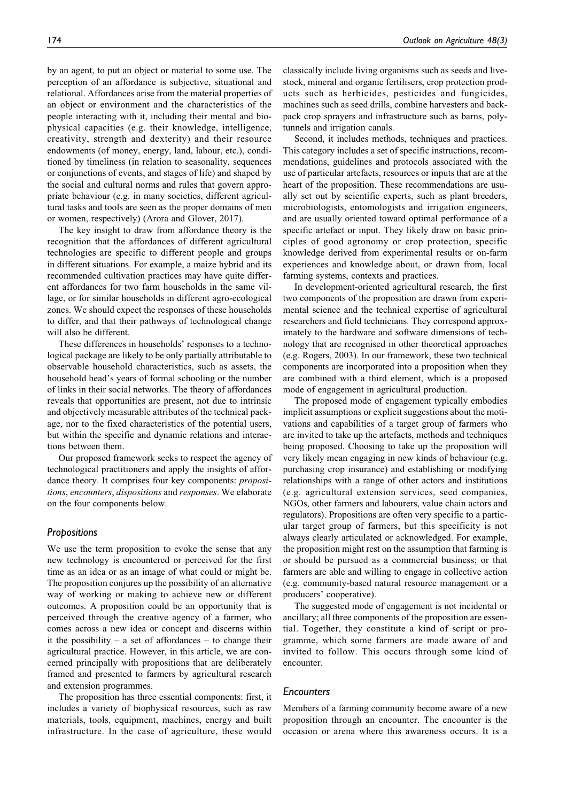by an agent, to put an object or material to some use. The perception of an affordance is subjective, situational and relational. Affordances arise from the material properties of an object or environment and the characteristics of the people interacting with it, including their mental and biophysical capacities (e.g. their knowledge, intelligence, creativity, strength and dexterity) and their resource endowments (of money, energy, land, labour, etc.), conditioned by timeliness (in relation to seasonality, sequences or conjunctions of events, and stages of life) and shaped by the social and cultural norms and rules that govern appropriate behaviour (e.g. in many societies, different agricultural tasks and tools are seen as the proper domains of men or women, respectively) (Arora and Glover, 2017).

The key insight to draw from affordance theory is the recognition that the affordances of different agricultural technologies are specific to different people and groups in different situations. For example, a maize hybrid and its recommended cultivation practices may have quite different affordances for two farm households in the same village, or for similar households in different agro-ecological zones. We should expect the responses of these households to differ, and that their pathways of technological change will also be different.

These differences in households' responses to a technological package are likely to be only partially attributable to observable household characteristics, such as assets, the household head's years of formal schooling or the number of links in their social networks. The theory of affordances reveals that opportunities are present, not due to intrinsic and objectively measurable attributes of the technical package, nor to the fixed characteristics of the potential users, but within the specific and dynamic relations and interactions between them.

Our proposed framework seeks to respect the agency of technological practitioners and apply the insights of affordance theory. It comprises four key components: propositions, encounters, dispositions and responses. We elaborate on the four components below.

### **Propositions**

We use the term proposition to evoke the sense that any new technology is encountered or perceived for the first time as an idea or as an image of what could or might be. The proposition conjures up the possibility of an alternative way of working or making to achieve new or different outcomes. A proposition could be an opportunity that is perceived through the creative agency of a farmer, who comes across a new idea or concept and discerns within it the possibility – a set of affordances – to change their agricultural practice. However, in this article, we are concerned principally with propositions that are deliberately framed and presented to farmers by agricultural research and extension programmes.

The proposition has three essential components: first, it includes a variety of biophysical resources, such as raw materials, tools, equipment, machines, energy and built infrastructure. In the case of agriculture, these would classically include living organisms such as seeds and livestock, mineral and organic fertilisers, crop protection products such as herbicides, pesticides and fungicides, machines such as seed drills, combine harvesters and backpack crop sprayers and infrastructure such as barns, polytunnels and irrigation canals.

Second, it includes methods, techniques and practices. This category includes a set of specific instructions, recommendations, guidelines and protocols associated with the use of particular artefacts, resources or inputs that are at the heart of the proposition. These recommendations are usually set out by scientific experts, such as plant breeders, microbiologists, entomologists and irrigation engineers, and are usually oriented toward optimal performance of a specific artefact or input. They likely draw on basic principles of good agronomy or crop protection, specific knowledge derived from experimental results or on-farm experiences and knowledge about, or drawn from, local farming systems, contexts and practices.

In development-oriented agricultural research, the first two components of the proposition are drawn from experimental science and the technical expertise of agricultural researchers and field technicians. They correspond approximately to the hardware and software dimensions of technology that are recognised in other theoretical approaches (e.g. Rogers, 2003). In our framework, these two technical components are incorporated into a proposition when they are combined with a third element, which is a proposed mode of engagement in agricultural production.

The proposed mode of engagement typically embodies implicit assumptions or explicit suggestions about the motivations and capabilities of a target group of farmers who are invited to take up the artefacts, methods and techniques being proposed. Choosing to take up the proposition will very likely mean engaging in new kinds of behaviour (e.g. purchasing crop insurance) and establishing or modifying relationships with a range of other actors and institutions (e.g. agricultural extension services, seed companies, NGOs, other farmers and labourers, value chain actors and regulators). Propositions are often very specific to a particular target group of farmers, but this specificity is not always clearly articulated or acknowledged. For example, the proposition might rest on the assumption that farming is or should be pursued as a commercial business; or that farmers are able and willing to engage in collective action (e.g. community-based natural resource management or a producers' cooperative).

The suggested mode of engagement is not incidental or ancillary; all three components of the proposition are essential. Together, they constitute a kind of script or programme, which some farmers are made aware of and invited to follow. This occurs through some kind of encounter.

## **Encounters**

Members of a farming community become aware of a new proposition through an encounter. The encounter is the occasion or arena where this awareness occurs. It is a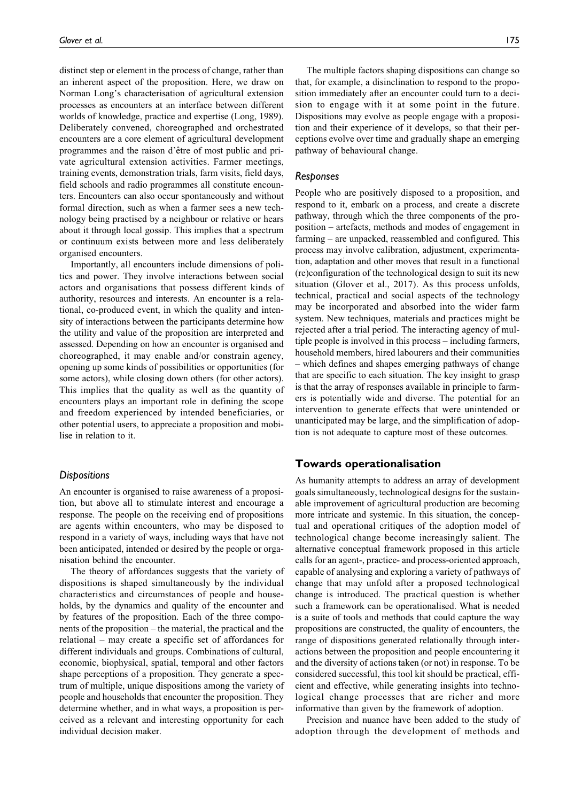distinct step or element in the process of change, rather than an inherent aspect of the proposition. Here, we draw on Norman Long's characterisation of agricultural extension processes as encounters at an interface between different worlds of knowledge, practice and expertise (Long, 1989). Deliberately convened, choreographed and orchestrated encounters are a core element of agricultural development programmes and the raison d'être of most public and private agricultural extension activities. Farmer meetings, training events, demonstration trials, farm visits, field days, field schools and radio programmes all constitute encounters. Encounters can also occur spontaneously and without formal direction, such as when a farmer sees a new technology being practised by a neighbour or relative or hears about it through local gossip. This implies that a spectrum or continuum exists between more and less deliberately organised encounters.

Importantly, all encounters include dimensions of politics and power. They involve interactions between social actors and organisations that possess different kinds of authority, resources and interests. An encounter is a relational, co-produced event, in which the quality and intensity of interactions between the participants determine how the utility and value of the proposition are interpreted and assessed. Depending on how an encounter is organised and choreographed, it may enable and/or constrain agency, opening up some kinds of possibilities or opportunities (for some actors), while closing down others (for other actors). This implies that the quality as well as the quantity of encounters plays an important role in defining the scope and freedom experienced by intended beneficiaries, or other potential users, to appreciate a proposition and mobilise in relation to it.

#### **Dispositions**

An encounter is organised to raise awareness of a proposition, but above all to stimulate interest and encourage a response. The people on the receiving end of propositions are agents within encounters, who may be disposed to respond in a variety of ways, including ways that have not been anticipated, intended or desired by the people or organisation behind the encounter.

The theory of affordances suggests that the variety of dispositions is shaped simultaneously by the individual characteristics and circumstances of people and households, by the dynamics and quality of the encounter and by features of the proposition. Each of the three components of the proposition – the material, the practical and the relational – may create a specific set of affordances for different individuals and groups. Combinations of cultural, economic, biophysical, spatial, temporal and other factors shape perceptions of a proposition. They generate a spectrum of multiple, unique dispositions among the variety of people and households that encounter the proposition. They determine whether, and in what ways, a proposition is perceived as a relevant and interesting opportunity for each individual decision maker.

The multiple factors shaping dispositions can change so that, for example, a disinclination to respond to the proposition immediately after an encounter could turn to a decision to engage with it at some point in the future. Dispositions may evolve as people engage with a proposition and their experience of it develops, so that their perceptions evolve over time and gradually shape an emerging pathway of behavioural change.

#### Responses

People who are positively disposed to a proposition, and respond to it, embark on a process, and create a discrete pathway, through which the three components of the proposition – artefacts, methods and modes of engagement in farming – are unpacked, reassembled and configured. This process may involve calibration, adjustment, experimentation, adaptation and other moves that result in a functional (re)configuration of the technological design to suit its new situation (Glover et al., 2017). As this process unfolds, technical, practical and social aspects of the technology may be incorporated and absorbed into the wider farm system. New techniques, materials and practices might be rejected after a trial period. The interacting agency of multiple people is involved in this process – including farmers, household members, hired labourers and their communities – which defines and shapes emerging pathways of change that are specific to each situation. The key insight to grasp is that the array of responses available in principle to farmers is potentially wide and diverse. The potential for an intervention to generate effects that were unintended or unanticipated may be large, and the simplification of adoption is not adequate to capture most of these outcomes.

### Towards operationalisation

As humanity attempts to address an array of development goals simultaneously, technological designs for the sustainable improvement of agricultural production are becoming more intricate and systemic. In this situation, the conceptual and operational critiques of the adoption model of technological change become increasingly salient. The alternative conceptual framework proposed in this article calls for an agent-, practice- and process-oriented approach, capable of analysing and exploring a variety of pathways of change that may unfold after a proposed technological change is introduced. The practical question is whether such a framework can be operationalised. What is needed is a suite of tools and methods that could capture the way propositions are constructed, the quality of encounters, the range of dispositions generated relationally through interactions between the proposition and people encountering it and the diversity of actions taken (or not) in response. To be considered successful, this tool kit should be practical, efficient and effective, while generating insights into technological change processes that are richer and more informative than given by the framework of adoption.

Precision and nuance have been added to the study of adoption through the development of methods and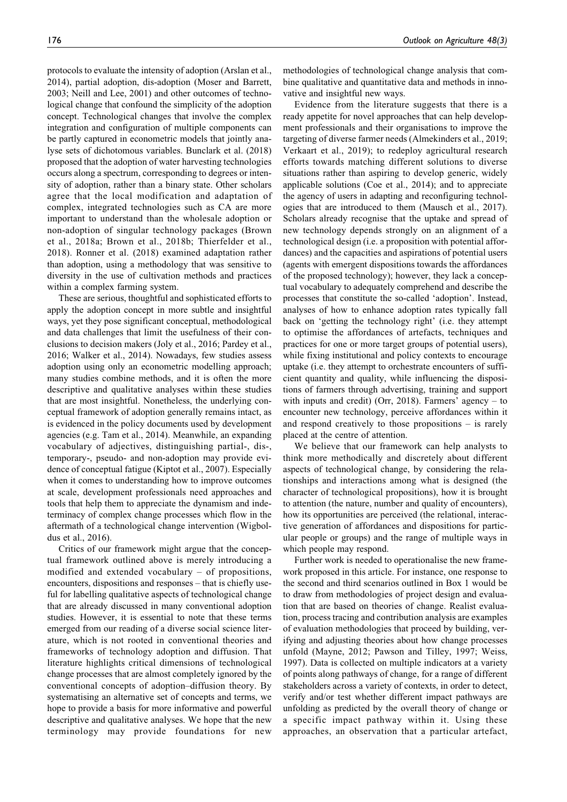protocols to evaluate the intensity of adoption (Arslan et al., 2014), partial adoption, dis-adoption (Moser and Barrett, 2003; Neill and Lee, 2001) and other outcomes of technological change that confound the simplicity of the adoption concept. Technological changes that involve the complex integration and configuration of multiple components can be partly captured in econometric models that jointly analyse sets of dichotomous variables. Bunclark et al. (2018) proposed that the adoption of water harvesting technologies occurs along a spectrum, corresponding to degrees or intensity of adoption, rather than a binary state. Other scholars agree that the local modification and adaptation of complex, integrated technologies such as CA are more important to understand than the wholesale adoption or non-adoption of singular technology packages (Brown et al., 2018a; Brown et al., 2018b; Thierfelder et al., 2018). Ronner et al. (2018) examined adaptation rather than adoption, using a methodology that was sensitive to diversity in the use of cultivation methods and practices within a complex farming system.

These are serious, thoughtful and sophisticated efforts to apply the adoption concept in more subtle and insightful ways, yet they pose significant conceptual, methodological and data challenges that limit the usefulness of their conclusions to decision makers (Joly et al., 2016; Pardey et al., 2016; Walker et al., 2014). Nowadays, few studies assess adoption using only an econometric modelling approach; many studies combine methods, and it is often the more descriptive and qualitative analyses within these studies that are most insightful. Nonetheless, the underlying conceptual framework of adoption generally remains intact, as is evidenced in the policy documents used by development agencies (e.g. Tam et al., 2014). Meanwhile, an expanding vocabulary of adjectives, distinguishing partial-, dis-, temporary-, pseudo- and non-adoption may provide evidence of conceptual fatigue (Kiptot et al., 2007). Especially when it comes to understanding how to improve outcomes at scale, development professionals need approaches and tools that help them to appreciate the dynamism and indeterminacy of complex change processes which flow in the aftermath of a technological change intervention (Wigboldus et al., 2016).

Critics of our framework might argue that the conceptual framework outlined above is merely introducing a modified and extended vocabulary – of propositions, encounters, dispositions and responses – that is chiefly useful for labelling qualitative aspects of technological change that are already discussed in many conventional adoption studies. However, it is essential to note that these terms emerged from our reading of a diverse social science literature, which is not rooted in conventional theories and frameworks of technology adoption and diffusion. That literature highlights critical dimensions of technological change processes that are almost completely ignored by the conventional concepts of adoption–diffusion theory. By systematising an alternative set of concepts and terms, we hope to provide a basis for more informative and powerful descriptive and qualitative analyses. We hope that the new terminology may provide foundations for new methodologies of technological change analysis that combine qualitative and quantitative data and methods in innovative and insightful new ways.

Evidence from the literature suggests that there is a ready appetite for novel approaches that can help development professionals and their organisations to improve the targeting of diverse farmer needs (Almekinders et al., 2019; Verkaart et al., 2019); to redeploy agricultural research efforts towards matching different solutions to diverse situations rather than aspiring to develop generic, widely applicable solutions (Coe et al., 2014); and to appreciate the agency of users in adapting and reconfiguring technologies that are introduced to them (Mausch et al., 2017). Scholars already recognise that the uptake and spread of new technology depends strongly on an alignment of a technological design (i.e. a proposition with potential affordances) and the capacities and aspirations of potential users (agents with emergent dispositions towards the affordances of the proposed technology); however, they lack a conceptual vocabulary to adequately comprehend and describe the processes that constitute the so-called 'adoption'. Instead, analyses of how to enhance adoption rates typically fall back on 'getting the technology right' (i.e. they attempt to optimise the affordances of artefacts, techniques and practices for one or more target groups of potential users), while fixing institutional and policy contexts to encourage uptake (i.e. they attempt to orchestrate encounters of sufficient quantity and quality, while influencing the dispositions of farmers through advertising, training and support with inputs and credit) (Orr, 2018). Farmers' agency – to encounter new technology, perceive affordances within it and respond creatively to those propositions – is rarely placed at the centre of attention.

We believe that our framework can help analysts to think more methodically and discretely about different aspects of technological change, by considering the relationships and interactions among what is designed (the character of technological propositions), how it is brought to attention (the nature, number and quality of encounters), how its opportunities are perceived (the relational, interactive generation of affordances and dispositions for particular people or groups) and the range of multiple ways in which people may respond.

Further work is needed to operationalise the new framework proposed in this article. For instance, one response to the second and third scenarios outlined in Box 1 would be to draw from methodologies of project design and evaluation that are based on theories of change. Realist evaluation, process tracing and contribution analysis are examples of evaluation methodologies that proceed by building, verifying and adjusting theories about how change processes unfold (Mayne, 2012; Pawson and Tilley, 1997; Weiss, 1997). Data is collected on multiple indicators at a variety of points along pathways of change, for a range of different stakeholders across a variety of contexts, in order to detect, verify and/or test whether different impact pathways are unfolding as predicted by the overall theory of change or a specific impact pathway within it. Using these approaches, an observation that a particular artefact,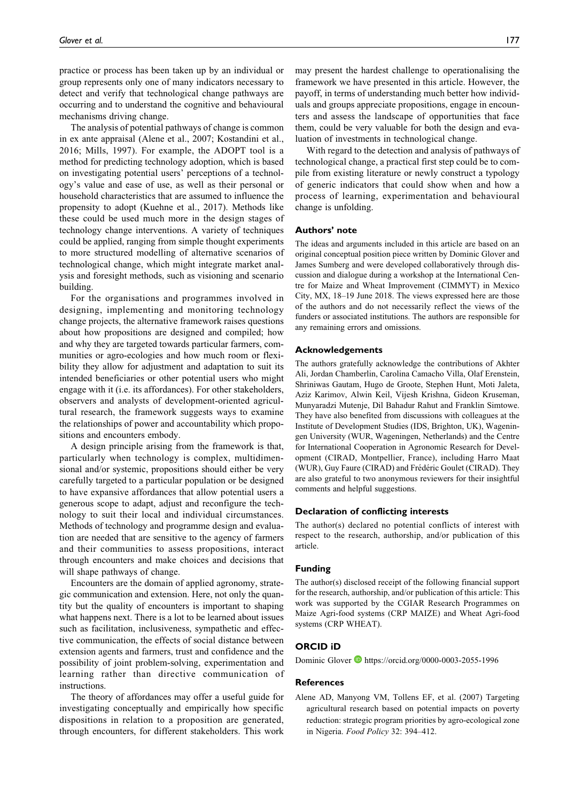practice or process has been taken up by an individual or group represents only one of many indicators necessary to detect and verify that technological change pathways are occurring and to understand the cognitive and behavioural mechanisms driving change.

The analysis of potential pathways of change is common in ex ante appraisal (Alene et al., 2007; Kostandini et al., 2016; Mills, 1997). For example, the ADOPT tool is a method for predicting technology adoption, which is based on investigating potential users' perceptions of a technology's value and ease of use, as well as their personal or household characteristics that are assumed to influence the propensity to adopt (Kuehne et al., 2017). Methods like these could be used much more in the design stages of technology change interventions. A variety of techniques could be applied, ranging from simple thought experiments to more structured modelling of alternative scenarios of technological change, which might integrate market analysis and foresight methods, such as visioning and scenario building.

For the organisations and programmes involved in designing, implementing and monitoring technology change projects, the alternative framework raises questions about how propositions are designed and compiled; how and why they are targeted towards particular farmers, communities or agro-ecologies and how much room or flexibility they allow for adjustment and adaptation to suit its intended beneficiaries or other potential users who might engage with it (i.e. its affordances). For other stakeholders, observers and analysts of development-oriented agricultural research, the framework suggests ways to examine the relationships of power and accountability which propositions and encounters embody.

A design principle arising from the framework is that, particularly when technology is complex, multidimensional and/or systemic, propositions should either be very carefully targeted to a particular population or be designed to have expansive affordances that allow potential users a generous scope to adapt, adjust and reconfigure the technology to suit their local and individual circumstances. Methods of technology and programme design and evaluation are needed that are sensitive to the agency of farmers and their communities to assess propositions, interact through encounters and make choices and decisions that will shape pathways of change.

Encounters are the domain of applied agronomy, strategic communication and extension. Here, not only the quantity but the quality of encounters is important to shaping what happens next. There is a lot to be learned about issues such as facilitation, inclusiveness, sympathetic and effective communication, the effects of social distance between extension agents and farmers, trust and confidence and the possibility of joint problem-solving, experimentation and learning rather than directive communication of instructions.

The theory of affordances may offer a useful guide for investigating conceptually and empirically how specific dispositions in relation to a proposition are generated, through encounters, for different stakeholders. This work may present the hardest challenge to operationalising the framework we have presented in this article. However, the payoff, in terms of understanding much better how individuals and groups appreciate propositions, engage in encounters and assess the landscape of opportunities that face them, could be very valuable for both the design and evaluation of investments in technological change.

With regard to the detection and analysis of pathways of technological change, a practical first step could be to compile from existing literature or newly construct a typology of generic indicators that could show when and how a process of learning, experimentation and behavioural change is unfolding.

#### Authors' note

The ideas and arguments included in this article are based on an original conceptual position piece written by Dominic Glover and James Sumberg and were developed collaboratively through discussion and dialogue during a workshop at the International Centre for Maize and Wheat Improvement (CIMMYT) in Mexico City, MX, 18–19 June 2018. The views expressed here are those of the authors and do not necessarily reflect the views of the funders or associated institutions. The authors are responsible for any remaining errors and omissions.

#### Acknowledgements

The authors gratefully acknowledge the contributions of Akhter Ali, Jordan Chamberlin, Carolina Camacho Villa, Olaf Erenstein, Shriniwas Gautam, Hugo de Groote, Stephen Hunt, Moti Jaleta, Aziz Karimov, Alwin Keil, Vijesh Krishna, Gideon Kruseman, Munyaradzi Mutenje, Dil Bahadur Rahut and Franklin Simtowe. They have also benefited from discussions with colleagues at the Institute of Development Studies (IDS, Brighton, UK), Wageningen University (WUR, Wageningen, Netherlands) and the Centre for International Cooperation in Agronomic Research for Development (CIRAD, Montpellier, France), including Harro Maat (WUR), Guy Faure (CIRAD) and Frédéric Goulet (CIRAD). They are also grateful to two anonymous reviewers for their insightful comments and helpful suggestions.

#### Declaration of conflicting interests

The author(s) declared no potential conflicts of interest with respect to the research, authorship, and/or publication of this article.

#### Funding

The author(s) disclosed receipt of the following financial support for the research, authorship, and/or publication of this article: This work was supported by the CGIAR Research Programmes on Maize Agri-food systems (CRP MAIZE) and Wheat Agri-food systems (CRP WHEAT).

#### ORCID iD

Dominic Glover **b** <https://orcid.org/0000-0003-2055-1996>

#### References

Alene AD, Manyong VM, Tollens EF, et al. (2007) Targeting agricultural research based on potential impacts on poverty reduction: strategic program priorities by agro-ecological zone in Nigeria. Food Policy 32: 394–412.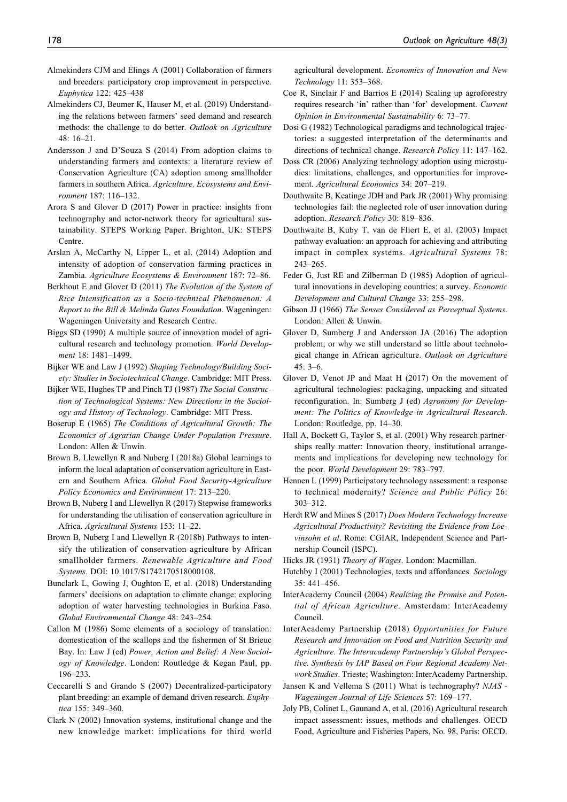- Almekinders CJM and Elings A (2001) Collaboration of farmers and breeders: participatory crop improvement in perspective. Euphytica 122: 425–438
- Almekinders CJ, Beumer K, Hauser M, et al. (2019) Understanding the relations between farmers' seed demand and research methods: the challenge to do better. Outlook on Agriculture 48: 16–21.
- Andersson J and D'Souza S (2014) From adoption claims to understanding farmers and contexts: a literature review of Conservation Agriculture (CA) adoption among smallholder farmers in southern Africa. Agriculture, Ecosystems and Environment 187: 116–132.
- Arora S and Glover D (2017) Power in practice: insights from technography and actor-network theory for agricultural sustainability. STEPS Working Paper. Brighton, UK: STEPS Centre.
- Arslan A, McCarthy N, Lipper L, et al. (2014) Adoption and intensity of adoption of conservation farming practices in Zambia. Agriculture Ecosystems & Environment 187: 72–86.
- Berkhout E and Glover D (2011) The Evolution of the System of Rice Intensification as a Socio-technical Phenomenon: A Report to the Bill & Melinda Gates Foundation. Wageningen: Wageningen University and Research Centre.
- Biggs SD (1990) A multiple source of innovation model of agricultural research and technology promotion. World Development 18: 1481–1499.
- Bijker WE and Law J (1992) Shaping Technology/Building Society: Studies in Sociotechnical Change. Cambridge: MIT Press.
- Bijker WE, Hughes TP and Pinch TJ (1987) The Social Construction of Technological Systems: New Directions in the Sociology and History of Technology. Cambridge: MIT Press.
- Boserup E (1965) The Conditions of Agricultural Growth: The Economics of Agrarian Change Under Population Pressure. London: Allen & Unwin.
- Brown B, Llewellyn R and Nuberg I (2018a) Global learnings to inform the local adaptation of conservation agriculture in Eastern and Southern Africa. Global Food Security-Agriculture Policy Economics and Environment 17: 213–220.
- Brown B, Nuberg I and Llewellyn R (2017) Stepwise frameworks for understanding the utilisation of conservation agriculture in Africa. Agricultural Systems 153: 11–22.
- Brown B, Nuberg I and Llewellyn R (2018b) Pathways to intensify the utilization of conservation agriculture by African smallholder farmers. Renewable Agriculture and Food Systems. DOI: 10.1017/S1742170518000108.
- Bunclark L, Gowing J, Oughton E, et al. (2018) Understanding farmers' decisions on adaptation to climate change: exploring adoption of water harvesting technologies in Burkina Faso. Global Environmental Change 48: 243–254.
- Callon M (1986) Some elements of a sociology of translation: domestication of the scallops and the fishermen of St Brieuc Bay. In: Law J (ed) Power, Action and Belief: A New Sociology of Knowledge. London: Routledge & Kegan Paul, pp. 196–233.
- Ceccarelli S and Grando S (2007) Decentralized-participatory plant breeding: an example of demand driven research. Euphytica 155: 349–360.
- Clark N (2002) Innovation systems, institutional change and the new knowledge market: implications for third world

agricultural development. Economics of Innovation and New Technology 11: 353–368.

- Coe R, Sinclair F and Barrios E (2014) Scaling up agroforestry requires research 'in' rather than 'for' development. Current Opinion in Environmental Sustainability 6: 73–77.
- Dosi G (1982) Technological paradigms and technological trajectories: a suggested interpretation of the determinants and directions of technical change. Research Policy 11: 147–162.
- Doss CR (2006) Analyzing technology adoption using microstudies: limitations, challenges, and opportunities for improvement. Agricultural Economics 34: 207–219.
- Douthwaite B, Keatinge JDH and Park JR (2001) Why promising technologies fail: the neglected role of user innovation during adoption. Research Policy 30: 819–836.
- Douthwaite B, Kuby T, van de Fliert E, et al. (2003) Impact pathway evaluation: an approach for achieving and attributing impact in complex systems. Agricultural Systems 78: 243–265.
- Feder G, Just RE and Zilberman D (1985) Adoption of agricultural innovations in developing countries: a survey. Economic Development and Cultural Change 33: 255–298.
- Gibson JJ (1966) The Senses Considered as Perceptual Systems. London: Allen & Unwin.
- Glover D, Sumberg J and Andersson JA (2016) The adoption problem; or why we still understand so little about technological change in African agriculture. Outlook on Agriculture 45: 3–6.
- Glover D, Venot JP and Maat H (2017) On the movement of agricultural technologies: packaging, unpacking and situated reconfiguration. In: Sumberg J (ed) Agronomy for Development: The Politics of Knowledge in Agricultural Research. London: Routledge, pp. 14–30.
- Hall A, Bockett G, Taylor S, et al. (2001) Why research partnerships really matter: Innovation theory, institutional arrangements and implications for developing new technology for the poor. World Development 29: 783–797.
- Hennen L (1999) Participatory technology assessment: a response to technical modernity? Science and Public Policy 26: 303–312.
- Herdt RW and Mines S (2017) Does Modern Technology Increase Agricultural Productivity? Revisiting the Evidence from Loevinsohn et al. Rome: CGIAR, Independent Science and Partnership Council (ISPC).
- Hicks JR (1931) Theory of Wages. London: Macmillan.
- Hutchby I (2001) Technologies, texts and affordances. Sociology 35: 441–456.
- InterAcademy Council (2004) Realizing the Promise and Potential of African Agriculture. Amsterdam: InterAcademy Council.
- InterAcademy Partnership (2018) Opportunities for Future Research and Innovation on Food and Nutrition Security and Agriculture. The Interacademy Partnership's Global Perspective. Synthesis by IAP Based on Four Regional Academy Network Studies. Trieste; Washington: InterAcademy Partnership.
- Jansen K and Vellema S (2011) What is technography? NJAS Wageningen Journal of Life Sciences 57: 169–177.
- Joly PB, Colinet L, Gaunand A, et al. (2016) Agricultural research impact assessment: issues, methods and challenges. OECD Food, Agriculture and Fisheries Papers, No. 98, Paris: OECD.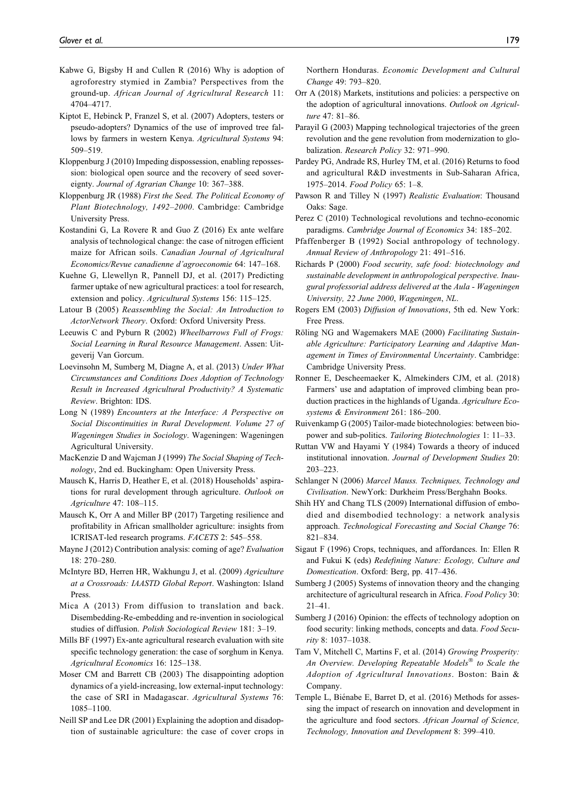- Kabwe G, Bigsby H and Cullen R (2016) Why is adoption of agroforestry stymied in Zambia? Perspectives from the ground-up. African Journal of Agricultural Research 11: 4704–4717.
- Kiptot E, Hebinck P, Franzel S, et al. (2007) Adopters, testers or pseudo-adopters? Dynamics of the use of improved tree fallows by farmers in western Kenya. Agricultural Systems 94: 509–519.
- Kloppenburg J (2010) Impeding dispossession, enabling repossession: biological open source and the recovery of seed sovereignty. Journal of Agrarian Change 10: 367–388.
- Kloppenburg JR (1988) First the Seed. The Political Economy of Plant Biotechnology, 1492–2000. Cambridge: Cambridge University Press.
- Kostandini G, La Rovere R and Guo Z (2016) Ex ante welfare analysis of technological change: the case of nitrogen efficient maize for African soils. Canadian Journal of Agricultural Economics/Revue canadienne d'agroeconomie 64: 147–168.
- Kuehne G, Llewellyn R, Pannell DJ, et al. (2017) Predicting farmer uptake of new agricultural practices: a tool for research, extension and policy. Agricultural Systems 156: 115–125.
- Latour B (2005) Reassembling the Social: An Introduction to ActorNetwork Theory. Oxford: Oxford University Press.
- Leeuwis C and Pyburn R (2002) Wheelbarrows Full of Frogs: Social Learning in Rural Resource Management. Assen: Uitgeverij Van Gorcum.
- Loevinsohn M, Sumberg M, Diagne A, et al. (2013) Under What Circumstances and Conditions Does Adoption of Technology Result in Increased Agricultural Productivity? A Systematic Review. Brighton: IDS.
- Long N (1989) Encounters at the Interface: A Perspective on Social Discontinuities in Rural Development. Volume 27 of Wageningen Studies in Sociology. Wageningen: Wageningen Agricultural University.
- MacKenzie D and Wajcman J (1999) The Social Shaping of Technology, 2nd ed. Buckingham: Open University Press.
- Mausch K, Harris D, Heather E, et al. (2018) Households' aspirations for rural development through agriculture. Outlook on Agriculture 47: 108–115.
- Mausch K, Orr A and Miller BP (2017) Targeting resilience and profitability in African smallholder agriculture: insights from ICRISAT-led research programs. FACETS 2: 545–558.
- Mayne J (2012) Contribution analysis: coming of age? Evaluation 18: 270–280.
- McIntyre BD, Herren HR, Wakhungu J, et al. (2009) Agriculture at a Crossroads: IAASTD Global Report. Washington: Island Press.
- Mica A (2013) From diffusion to translation and back. Disembedding-Re-embedding and re-invention in sociological studies of diffusion. Polish Sociological Review 181: 3–19.
- Mills BF (1997) Ex-ante agricultural research evaluation with site specific technology generation: the case of sorghum in Kenya. Agricultural Economics 16: 125–138.
- Moser CM and Barrett CB (2003) The disappointing adoption dynamics of a yield-increasing, low external-input technology: the case of SRI in Madagascar. Agricultural Systems 76: 1085–1100.
- Neill SP and Lee DR (2001) Explaining the adoption and disadoption of sustainable agriculture: the case of cover crops in

Northern Honduras. Economic Development and Cultural Change 49: 793–820.

- Orr A (2018) Markets, institutions and policies: a perspective on the adoption of agricultural innovations. Outlook on Agriculture 47: 81–86.
- Parayil G (2003) Mapping technological trajectories of the green revolution and the gene revolution from modernization to globalization. Research Policy 32: 971–990.
- Pardey PG, Andrade RS, Hurley TM, et al. (2016) Returns to food and agricultural R&D investments in Sub-Saharan Africa, 1975–2014. Food Policy 65: 1–8.
- Pawson R and Tilley N (1997) Realistic Evaluation: Thousand Oaks: Sage.
- Perez C (2010) Technological revolutions and techno-economic paradigms. Cambridge Journal of Economics 34: 185–202.
- Pfaffenberger B (1992) Social anthropology of technology. Annual Review of Anthropology 21: 491–516.
- Richards P (2000) Food security, safe food: biotechnology and sustainable development in anthropological perspective. Inaugural professorial address delivered at the Aula - Wageningen University, 22 June 2000, Wageningen, NL.
- Rogers EM (2003) Diffusion of Innovations, 5th ed. New York: Free Press.
- Röling NG and Wagemakers MAE (2000) Facilitating Sustainable Agriculture: Participatory Learning and Adaptive Management in Times of Environmental Uncertainty. Cambridge: Cambridge University Press.
- Ronner E, Descheemaeker K, Almekinders CJM, et al. (2018) Farmers' use and adaptation of improved climbing bean production practices in the highlands of Uganda. Agriculture Ecosystems & Environment 261: 186–200.
- Ruivenkamp G (2005) Tailor-made biotechnologies: between biopower and sub-politics. Tailoring Biotechnologies 1: 11–33.
- Ruttan VW and Hayami Y (1984) Towards a theory of induced institutional innovation. Journal of Development Studies 20: 203–223.
- Schlanger N (2006) Marcel Mauss. Techniques, Technology and Civilisation. NewYork: Durkheim Press/Berghahn Books.
- Shih HY and Chang TLS (2009) International diffusion of embodied and disembodied technology: a network analysis approach. Technological Forecasting and Social Change 76: 821–834.
- Sigaut F (1996) Crops, techniques, and affordances. In: Ellen R and Fukui K (eds) Redefining Nature: Ecology, Culture and Domestication. Oxford: Berg, pp. 417–436.
- Sumberg J (2005) Systems of innovation theory and the changing architecture of agricultural research in Africa. Food Policy 30: 21–41.
- Sumberg J (2016) Opinion: the effects of technology adoption on food security: linking methods, concepts and data. Food Security 8: 1037–1038.
- Tam V, Mitchell C, Martins F, et al. (2014) Growing Prosperity: An Overview. Developing Repeatable Models<sup>®</sup> to Scale the Adoption of Agricultural Innovations. Boston: Bain & Company.
- Temple L, Biénabe E, Barret D, et al. (2016) Methods for assessing the impact of research on innovation and development in the agriculture and food sectors. African Journal of Science, Technology, Innovation and Development 8: 399–410.